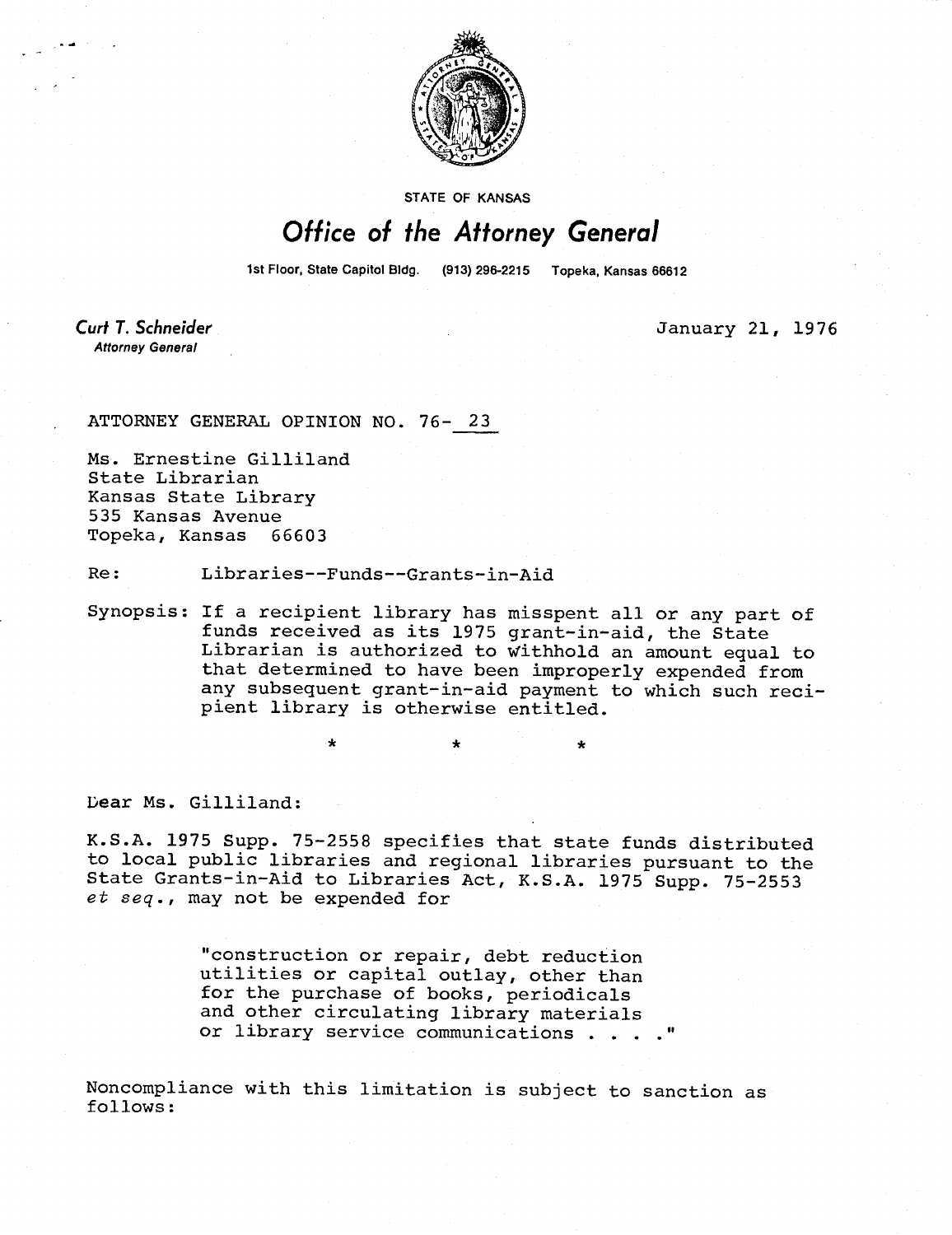

STATE OF KANSAS

## Office of the Attorney General

1st Floor, State Capitol Bldg. (913) 296-2215 Topeka, Kansas 66612

Curt T. Schneider **Attorney General** 

January 21, 1976

ATTORNEY GENERAL OPINION NO. 76- 23

Ms. Ernestine Gilliland State Librarian Kansas State Library 535 Kansas Avenue Topeka, Kansas 66603

Re: Libraries--Funds--Grants-in-Aid

Synopsis: If a recipient library has misspent all or any part of funds received as its 1975 grant-in-aid, the State Librarian is authorized to Withhold an amount equal to that determined to have been improperly expended from any subsequent grant-in-aid payment to which such recipient library is otherwise entitled.

Dear Ms. Gilliland:

K.S.A. 1975 Supp. 75-2558 specifies that state funds distributed to local public libraries and regional libraries pursuant to the State Grants-in-Aid to Libraries Act, K.S.A. 1975 Supp. 75-2553 et seq., may not be expended for

> "construction or repair, debt reduction utilities or capital outlay, other than for the purchase of books, periodicals and other circulating library materials or library service communications . . . . "

Noncompliance with this limitation is subject to sanction as follows: